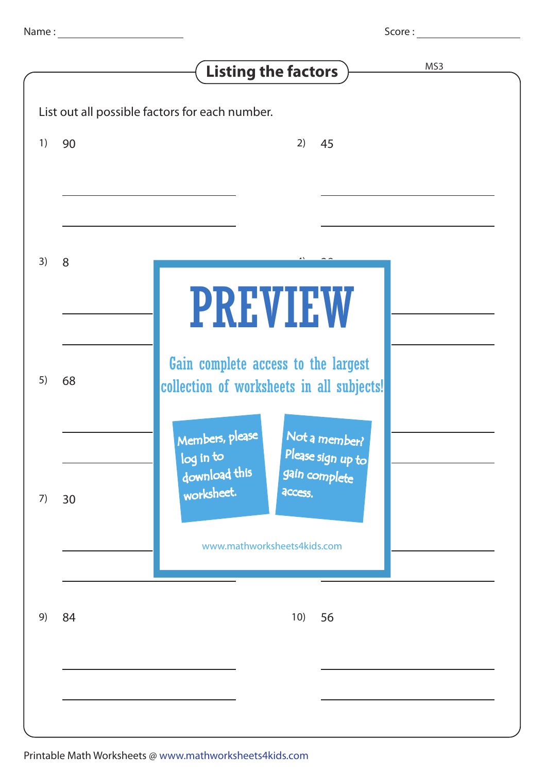Score :

|    |    | MS3<br><b>Listing the factors</b>                                                                                                                               |
|----|----|-----------------------------------------------------------------------------------------------------------------------------------------------------------------|
|    |    | List out all possible factors for each number.                                                                                                                  |
| 1) | 90 | 2)<br>45                                                                                                                                                        |
|    |    |                                                                                                                                                                 |
| 3) | 8  |                                                                                                                                                                 |
|    |    | <b>PREVIEW</b>                                                                                                                                                  |
| 5) | 68 | Gain complete access to the largest<br>collection of worksheets in all subjects!                                                                                |
| 7) | 30 | Members, please<br>Not a member?<br>Please sign up to<br>$\sqrt{\log \text{in} \text{to} \text{to}}$<br>download this<br>gain complete<br>worksheet.<br>access. |
|    |    | www.mathworksheets4kids.com                                                                                                                                     |
| 9) | 84 | 10)<br>56                                                                                                                                                       |
|    |    |                                                                                                                                                                 |
|    |    |                                                                                                                                                                 |